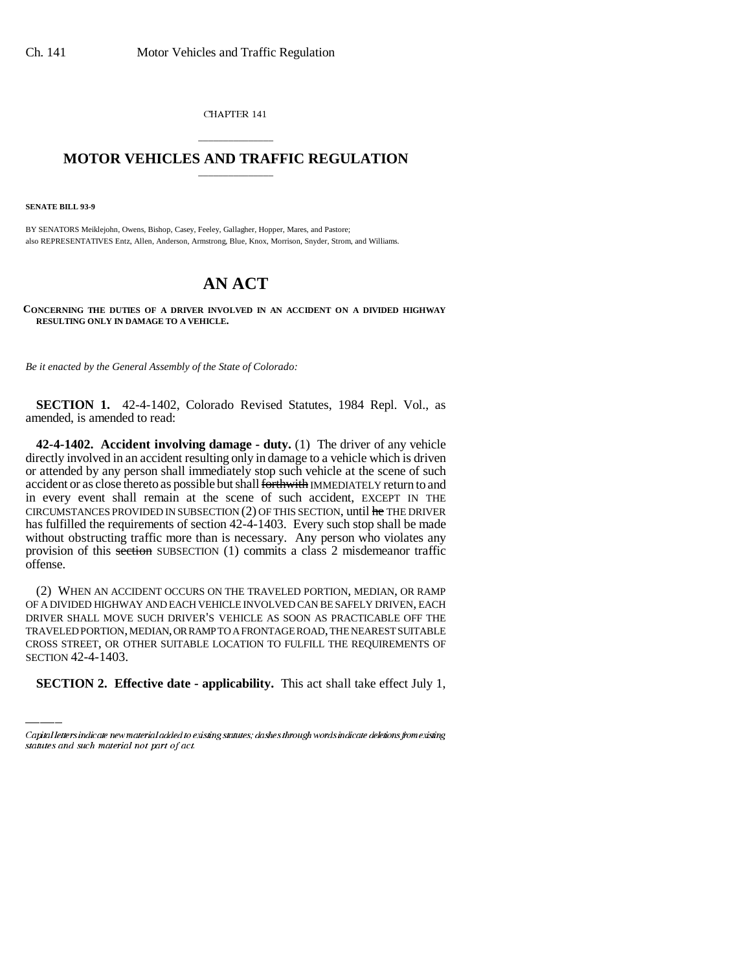CHAPTER 141

## \_\_\_\_\_\_\_\_\_\_\_\_\_\_\_ **MOTOR VEHICLES AND TRAFFIC REGULATION** \_\_\_\_\_\_\_\_\_\_\_\_\_\_\_

**SENATE BILL 93-9**

BY SENATORS Meiklejohn, Owens, Bishop, Casey, Feeley, Gallagher, Hopper, Mares, and Pastore; also REPRESENTATIVES Entz, Allen, Anderson, Armstrong, Blue, Knox, Morrison, Snyder, Strom, and Williams.

## **AN ACT**

**CONCERNING THE DUTIES OF A DRIVER INVOLVED IN AN ACCIDENT ON A DIVIDED HIGHWAY RESULTING ONLY IN DAMAGE TO A VEHICLE.**

*Be it enacted by the General Assembly of the State of Colorado:*

**SECTION 1.** 42-4-1402, Colorado Revised Statutes, 1984 Repl. Vol., as amended, is amended to read:

**42-4-1402. Accident involving damage - duty.** (1) The driver of any vehicle directly involved in an accident resulting only in damage to a vehicle which is driven or attended by any person shall immediately stop such vehicle at the scene of such accident or as close thereto as possible but shall forthwith IMMEDIATELY return to and in every event shall remain at the scene of such accident, EXCEPT IN THE CIRCUMSTANCES PROVIDED IN SUBSECTION  $(2)$  OF THIS SECTION, until  $he$  THE DRIVER has fulfilled the requirements of section 42-4-1403. Every such stop shall be made without obstructing traffic more than is necessary. Any person who violates any provision of this section SUBSECTION (1) commits a class 2 misdemeanor traffic offense.

TRAVELED PORTION, MEDIAN, OR RAMP TO A FRONTAGE ROAD, THE NEAREST SUITABLE (2) WHEN AN ACCIDENT OCCURS ON THE TRAVELED PORTION, MEDIAN, OR RAMP OF A DIVIDED HIGHWAY AND EACH VEHICLE INVOLVED CAN BE SAFELY DRIVEN, EACH DRIVER SHALL MOVE SUCH DRIVER'S VEHICLE AS SOON AS PRACTICABLE OFF THE CROSS STREET, OR OTHER SUITABLE LOCATION TO FULFILL THE REQUIREMENTS OF SECTION 42-4-1403.

**SECTION 2. Effective date - applicability.** This act shall take effect July 1,

Capital letters indicate new material added to existing statutes; dashes through words indicate deletions from existing statutes and such material not part of act.